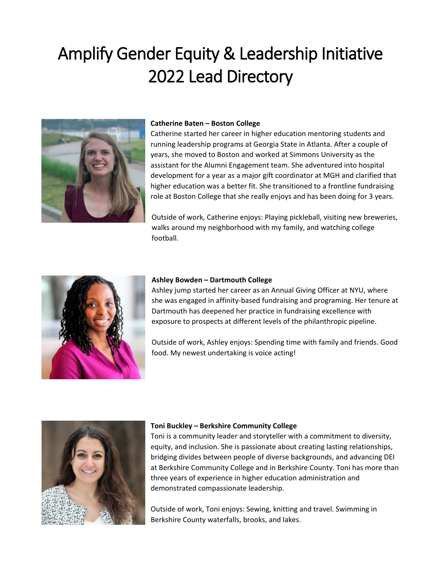# Amplify Gender Equity & Leadership Initiative 2022 Lead Directory



## **Catherine Baten – Boston College**

Catherine started her career in higher education mentoring students and running leadership programs at Georgia State in Atlanta. After a couple of years, she moved to Boston and worked at Simmons University as the assistant for the Alumni Engagement team. She adventured into hospital development for a year as a major gift coordinator at MGH and clarified that higher education was a better fit. She transitioned to a frontline fundraising role at Boston College that she really enjoys and has been doing for 3 years.

Outside of work, Catherine enjoys: Playing pickleball, visiting new breweries, walks around my neighborhood with my family, and watching college football.



#### **Ashley Bowden – Dartmouth College**

Ashley jump started her career as an Annual Giving Officer at NYU, where she was engaged in affinity-based fundraising and programing. Her tenure at Dartmouth has deepened her practice in fundraising excellence with exposure to prospects at different levels of the philanthropic pipeline.

Outside of work, Ashley enjoys: Spending time with family and friends. Good food. My newest undertaking is voice acting!



## **Toni Buckley – Berkshire Community College**

Toni is a community leader and storyteller with a commitment to diversity, equity, and inclusion. She is passionate about creating lasting relationships, bridging divides between people of diverse backgrounds, and advancing DEI at Berkshire Community College and in Berkshire County. Toni has more than three years of experience in higher education administration and demonstrated compassionate leadership.

Outside of work, Toni enjoys: Sewing, knitting and travel. Swimming in Berkshire County waterfalls, brooks, and lakes.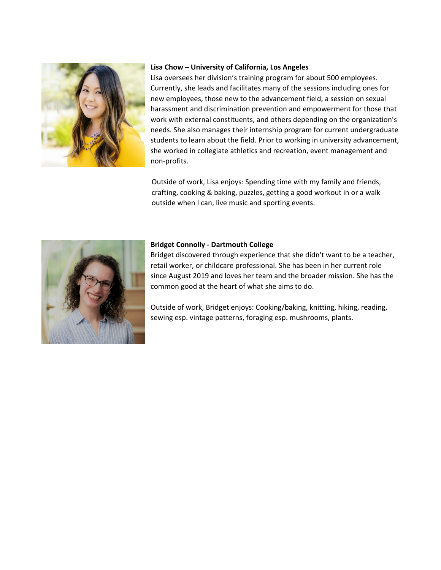

# **Lisa Chow – University of California, Los Angeles**

Lisa oversees her division's training program for about 500 employees. Currently, she leads and facilitates many of the sessions including ones for new employees, those new to the advancement field, a session on sexual harassment and discrimination prevention and empowerment for those that work with external constituents, and others depending on the organization's needs. She also manages their internship program for current undergraduate students to learn about the field. Prior to working in university advancement, she worked in collegiate athletics and recreation, event management and non-profits.

Outside of work, Lisa enjoys: Spending time with my family and friends, crafting, cooking & baking, puzzles, getting a good workout in or a walk outside when I can, live music and sporting events.



# **Bridget Connolly - Dartmouth College**

Bridget discovered through experience that she didn't want to be a teacher, retail worker, or childcare professional. She has been in her current role since August 2019 and loves her team and the broader mission. She has the common good at the heart of what she aims to do.

Outside of work, Bridget enjoys: Cooking/baking, knitting, hiking, reading, sewing esp. vintage patterns, foraging esp. mushrooms, plants.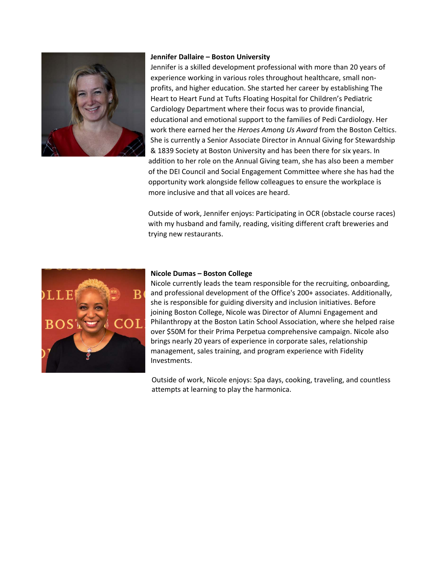

#### **Jennifer Dallaire – Boston University**

Jennifer is a skilled development professional with more than 20 years of experience working in various roles throughout healthcare, small nonprofits, and higher education. She started her career by establishing The Heart to Heart Fund at Tufts Floating Hospital for Children's Pediatric Cardiology Department where their focus was to provide financial, educational and emotional support to the families of Pedi Cardiology. Her work there earned her the *Heroes Among Us Award* from the Boston Celtics. She is currently a Senior Associate Director in Annual Giving for Stewardship & 1839 Society at Boston University and has been there for six years. In addition to her role on the Annual Giving team, she has also been a member of the DEI Council and Social Engagement Committee where she has had the opportunity work alongside fellow colleagues to ensure the workplace is more inclusive and that all voices are heard.

Outside of work, Jennifer enjoys: Participating in OCR (obstacle course races) with my husband and family, reading, visiting different craft breweries and trying new restaurants.



## **Nicole Dumas – Boston College**

Nicole currently leads the team responsible for the recruiting, onboarding, and professional development of the Office's 200+ associates. Additionally, she is responsible for guiding diversity and inclusion initiatives. Before joining Boston College, Nicole was Director of Alumni Engagement and Philanthropy at the Boston Latin School Association, where she helped raise over \$50M for their Prima Perpetua comprehensive campaign. Nicole also brings nearly 20 years of experience in corporate sales, relationship management, sales training, and program experience with Fidelity Investments.

Outside of work, Nicole enjoys: Spa days, cooking, traveling, and countless attempts at learning to play the harmonica.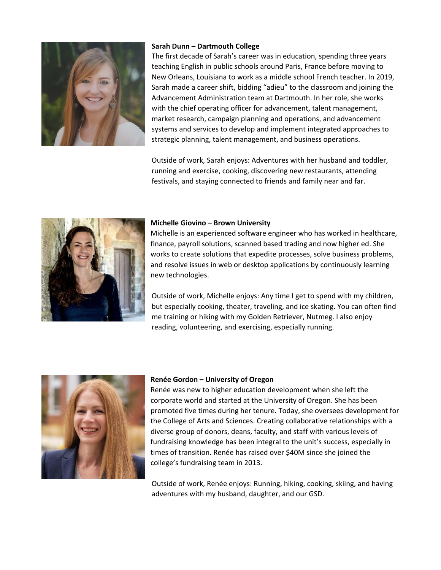

# **Sarah Dunn – Dartmouth College**

The first decade of Sarah's career was in education, spending three years teaching English in public schools around Paris, France before moving to New Orleans, Louisiana to work as a middle school French teacher. In 2019, Sarah made a career shift, bidding "adieu" to the classroom and joining the Advancement Administration team at Dartmouth. In her role, she works with the chief operating officer for advancement, talent management, market research, campaign planning and operations, and advancement systems and services to develop and implement integrated approaches to strategic planning, talent management, and business operations.

Outside of work, Sarah enjoys: Adventures with her husband and toddler, running and exercise, cooking, discovering new restaurants, attending festivals, and staying connected to friends and family near and far.



## **Michelle Giovino – Brown University**

Michelle is an experienced software engineer who has worked in healthcare, finance, payroll solutions, scanned based trading and now higher ed. She works to create solutions that expedite processes, solve business problems, and resolve issues in web or desktop applications by continuously learning new technologies.

Outside of work, Michelle enjoys: Any time I get to spend with my children, but especially cooking, theater, traveling, and ice skating. You can often find me training or hiking with my Golden Retriever, Nutmeg. I also enjoy reading, volunteering, and exercising, especially running.



#### **Renée Gordon – University of Oregon**

Renée was new to higher education development when she left the corporate world and started at the University of Oregon. She has been promoted five times during her tenure. Today, she oversees development for the College of Arts and Sciences. Creating collaborative relationships with a diverse group of donors, deans, faculty, and staff with various levels of fundraising knowledge has been integral to the unit's success, especially in times of transition. Renée has raised over \$40M since she joined the college's fundraising team in 2013.

Outside of work, Renée enjoys: Running, hiking, cooking, skiing, and having adventures with my husband, daughter, and our GSD.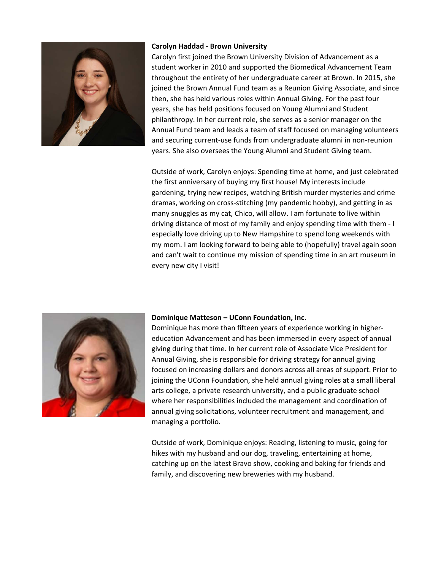

## **Carolyn Haddad - Brown University**

Carolyn first joined the Brown University Division of Advancement as a student worker in 2010 and supported the Biomedical Advancement Team throughout the entirety of her undergraduate career at Brown. In 2015, she joined the Brown Annual Fund team as a Reunion Giving Associate, and since then, she has held various roles within Annual Giving. For the past four years, she has held positions focused on Young Alumni and Student philanthropy. In her current role, she serves as a senior manager on the Annual Fund team and leads a team of staff focused on managing volunteers and securing current-use funds from undergraduate alumni in non-reunion years. She also oversees the Young Alumni and Student Giving team.

Outside of work, Carolyn enjoys: Spending time at home, and just celebrated the first anniversary of buying my first house! My interests include gardening, trying new recipes, watching British murder mysteries and crime dramas, working on cross-stitching (my pandemic hobby), and getting in as many snuggles as my cat, Chico, will allow. I am fortunate to live within driving distance of most of my family and enjoy spending time with them - I especially love driving up to New Hampshire to spend long weekends with my mom. I am looking forward to being able to (hopefully) travel again soon and can't wait to continue my mission of spending time in an art museum in every new city I visit!



#### **Dominique Matteson – UConn Foundation, Inc.**

Dominique has more than fifteen years of experience working in highereducation Advancement and has been immersed in every aspect of annual giving during that time. In her current role of Associate Vice President for Annual Giving, she is responsible for driving strategy for annual giving focused on increasing dollars and donors across all areas of support. Prior to joining the UConn Foundation, she held annual giving roles at a small liberal arts college, a private research university, and a public graduate school where her responsibilities included the management and coordination of annual giving solicitations, volunteer recruitment and management, and managing a portfolio.

Outside of work, Dominique enjoys: Reading, listening to music, going for hikes with my husband and our dog, traveling, entertaining at home, catching up on the latest Bravo show, cooking and baking for friends and family, and discovering new breweries with my husband.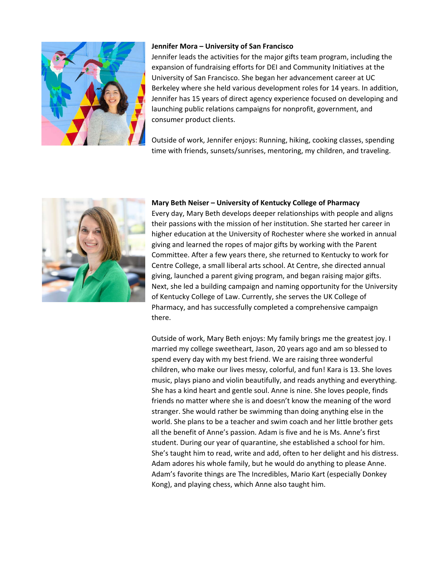

## **Jennifer Mora – University of San Francisco**

Jennifer leads the activities for the major gifts team program, including the expansion of fundraising efforts for DEI and Community Initiatives at the University of San Francisco. She began her advancement career at UC Berkeley where she held various development roles for 14 years. In addition, Jennifer has 15 years of direct agency experience focused on developing and launching public relations campaigns for nonprofit, government, and consumer product clients.

Outside of work, Jennifer enjoys: Running, hiking, cooking classes, spending time with friends, sunsets/sunrises, mentoring, my children, and traveling.



#### **Mary Beth Neiser – University of Kentucky College of Pharmacy**

Every day, Mary Beth develops deeper relationships with people and aligns their passions with the mission of her institution. She started her career in higher education at the University of Rochester where she worked in annual giving and learned the ropes of major gifts by working with the Parent Committee. After a few years there, she returned to Kentucky to work for Centre College, a small liberal arts school. At Centre, she directed annual giving, launched a parent giving program, and began raising major gifts. Next, she led a building campaign and naming opportunity for the University of Kentucky College of Law. Currently, she serves the UK College of Pharmacy, and has successfully completed a comprehensive campaign there.

Outside of work, Mary Beth enjoys: My family brings me the greatest joy. I married my college sweetheart, Jason, 20 years ago and am so blessed to spend every day with my best friend. We are raising three wonderful children, who make our lives messy, colorful, and fun! Kara is 13. She loves music, plays piano and violin beautifully, and reads anything and everything. She has a kind heart and gentle soul. Anne is nine. She loves people, finds friends no matter where she is and doesn't know the meaning of the word stranger. She would rather be swimming than doing anything else in the world. She plans to be a teacher and swim coach and her little brother gets all the benefit of Anne's passion. Adam is five and he is Ms. Anne's first student. During our year of quarantine, she established a school for him. She's taught him to read, write and add, often to her delight and his distress. Adam adores his whole family, but he would do anything to please Anne. Adam's favorite things are The Incredibles, Mario Kart (especially Donkey Kong), and playing chess, which Anne also taught him.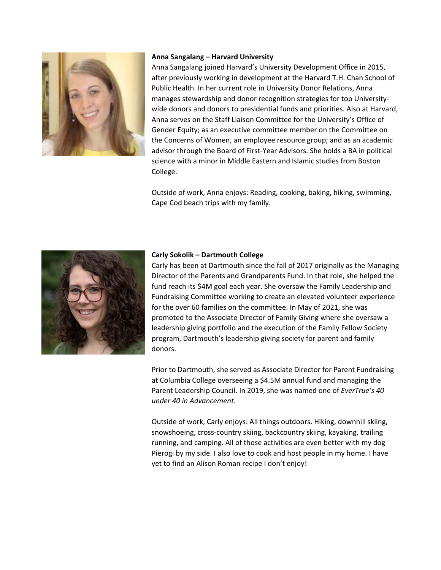

#### **Anna Sangalang – Harvard University**

Anna Sangalang joined Harvard's University Development Office in 2015, after previously working in development at the Harvard T.H. Chan School of Public Health. In her current role in University Donor Relations, Anna manages stewardship and donor recognition strategies for top Universitywide donors and donors to presidential funds and priorities. Also at Harvard, Anna serves on the Staff Liaison Committee for the University's Office of Gender Equity; as an executive committee member on the Committee on the Concerns of Women, an employee resource group; and as an academic advisor through the Board of First-Year Advisors. She holds a BA in political science with a minor in Middle Eastern and Islamic studies from Boston College.

Outside of work, Anna enjoys: Reading, cooking, baking, hiking, swimming, Cape Cod beach trips with my family.



# **Carly Sokolik – Dartmouth College**

Carly has been at Dartmouth since the fall of 2017 originally as the Managing Director of the Parents and Grandparents Fund. In that role, she helped the fund reach its \$4M goal each year. She oversaw the Family Leadership and Fundraising Committee working to create an elevated volunteer experience for the over 60 families on the committee. In May of 2021, she was promoted to the Associate Director of Family Giving where she oversaw a leadership giving portfolio and the execution of the Family Fellow Society program, Dartmouth's leadership giving society for parent and family donors.

Prior to Dartmouth, she served as Associate Director for Parent Fundraising at Columbia College overseeing a \$4.5M annual fund and managing the Parent Leadership Council. In 2019, she was named one of *EverTrue's 40 under 40 in Advancement*.

Outside of work, Carly enjoys: All things outdoors. Hiking, downhill skiing, snowshoeing, cross-country skiing, backcountry skiing, kayaking, trailing running, and camping. All of those activities are even better with my dog Pierogi by my side. I also love to cook and host people in my home. I have yet to find an Alison Roman recipe I don't enjoy!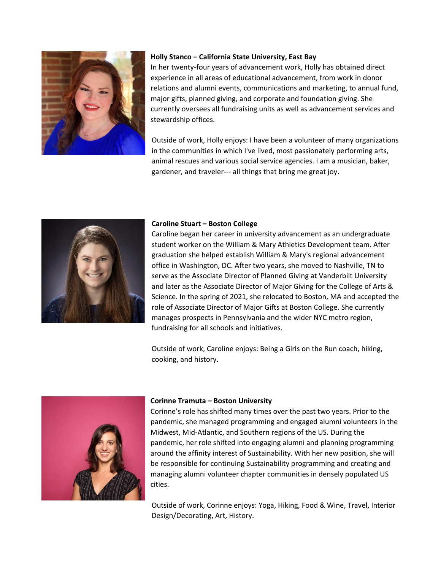

# **Holly Stanco – California State University, East Bay**

In her twenty-four years of advancement work, Holly has obtained direct experience in all areas of educational advancement, from work in donor relations and alumni events, communications and marketing, to annual fund, major gifts, planned giving, and corporate and foundation giving. She currently oversees all fundraising units as well as advancement services and stewardship offices.

Outside of work, Holly enjoys: I have been a volunteer of many organizations in the communities in which I've lived, most passionately performing arts, animal rescues and various social service agencies. I am a musician, baker, gardener, and traveler--- all things that bring me great joy.



# **Caroline Stuart – Boston College**

Caroline began her career in university advancement as an undergraduate student worker on the William & Mary Athletics Development team. After graduation she helped establish William & Mary's regional advancement office in Washington, DC. After two years, she moved to Nashville, TN to serve as the Associate Director of Planned Giving at Vanderbilt University and later as the Associate Director of Major Giving for the College of Arts & Science. In the spring of 2021, she relocated to Boston, MA and accepted the role of Associate Director of Major Gifts at Boston College. She currently manages prospects in Pennsylvania and the wider NYC metro region, fundraising for all schools and initiatives.

Outside of work, Caroline enjoys: Being a Girls on the Run coach, hiking, cooking, and history.



#### **Corinne Tramuta – Boston University**

Corinne's role has shifted many times over the past two years. Prior to the pandemic, she managed programming and engaged alumni volunteers in the Midwest, Mid-Atlantic, and Southern regions of the US. During the pandemic, her role shifted into engaging alumni and planning programming around the affinity interest of Sustainability. With her new position, she will be responsible for continuing Sustainability programming and creating and managing alumni volunteer chapter communities in densely populated US cities.

Outside of work, Corinne enjoys: Yoga, Hiking, Food & Wine, Travel, Interior Design/Decorating, Art, History.